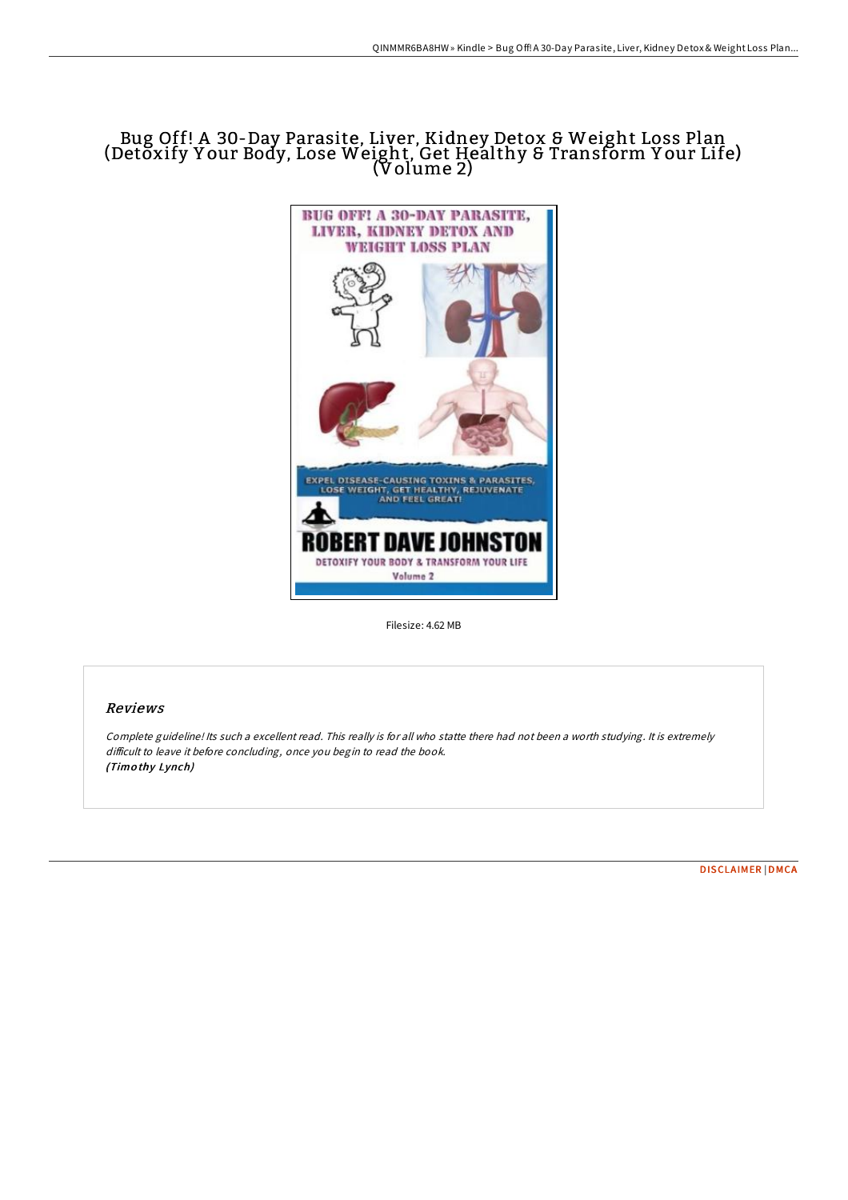# Bug Off! A 30-Day Parasite, Liver, Kidney Detox & Weight Loss Plan (Detŏxify Your Body, Lose Weight, Get Healthy & Transform Your Life) (Volume 2)



Filesize: 4.62 MB

## Reviews

Complete guideline! Its such <sup>a</sup> excellent read. This really is for all who statte there had not been <sup>a</sup> worth studying. It is extremely difficult to leave it before concluding, once you begin to read the book. (Timo thy Lynch)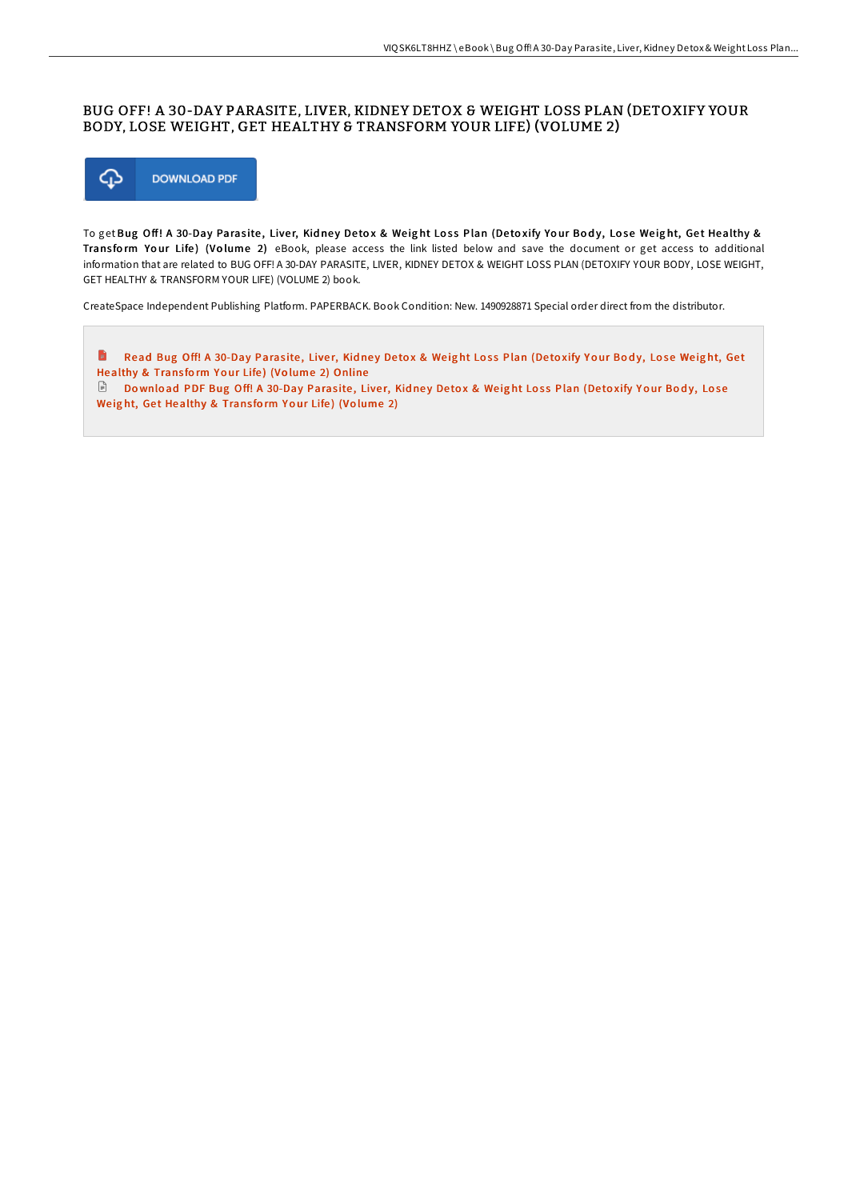#### BUG OFF! A 30-DAY PARASITE, LIVER, KIDNEY DETOX & WEIGHT LOSS PLAN (DETOXIFY YOUR BODY, LOSE WEIGHT, GET HEALTHY & TRANSFORM YOUR LIFE) (VOLUME 2)



To get Bug Off! A 30-Day Parasite, Liver, Kidney Detox & Weight Loss Plan (Detoxify Your Body, Lose Weight, Get Healthy & Transform Your Life) (Volume 2) eBook, please access the link listed below and save the document or get access to additional information that are related to BUG OFF! A 30-DAY PARASITE, LIVER, KIDNEY DETOX & WEIGHT LOSS PLAN (DETOXIFY YOUR BODY, LOSE WEIGHT, GET HEALTHY & TRANSFORM YOUR LIFE) (VOLUME 2) book.

CreateSpace Independent Publishing Platform. PAPERBACK. Book Condition: New. 1490928871 Special order direct from the distributor.